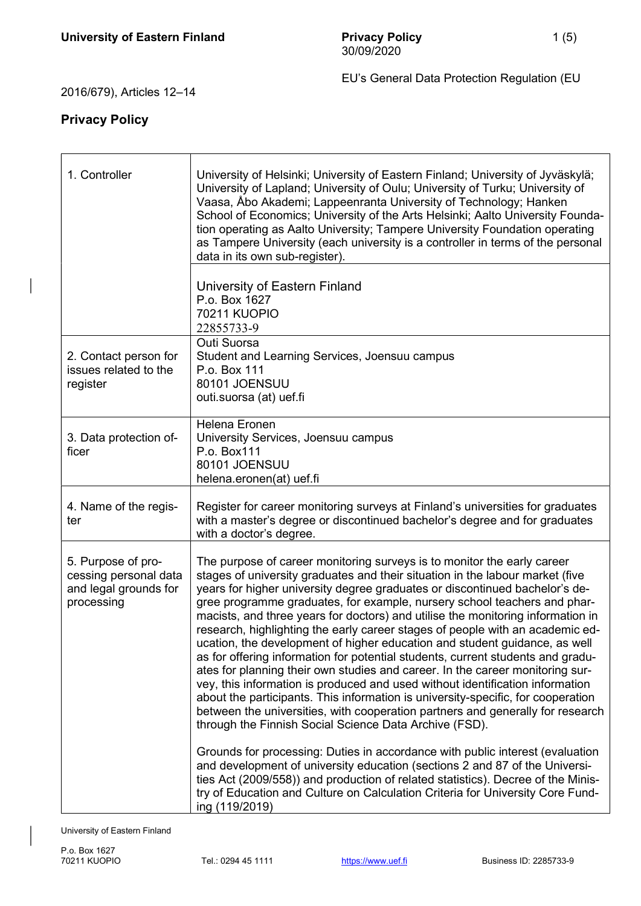EU's General Data Protection Regulation (EU

## 2016/679), Articles 12–14

## Privacy Policy

| 1. Controller                                                                      | University of Helsinki; University of Eastern Finland; University of Jyväskylä;<br>University of Lapland; University of Oulu; University of Turku; University of<br>Vaasa, Åbo Akademi; Lappeenranta University of Technology; Hanken<br>School of Economics; University of the Arts Helsinki; Aalto University Founda-<br>tion operating as Aalto University; Tampere University Foundation operating<br>as Tampere University (each university is a controller in terms of the personal<br>data in its own sub-register).<br>University of Eastern Finland                                                                                                                                                                                                                                                                                                                                                                                                                                                                                                                                                                                                                                                               |
|------------------------------------------------------------------------------------|----------------------------------------------------------------------------------------------------------------------------------------------------------------------------------------------------------------------------------------------------------------------------------------------------------------------------------------------------------------------------------------------------------------------------------------------------------------------------------------------------------------------------------------------------------------------------------------------------------------------------------------------------------------------------------------------------------------------------------------------------------------------------------------------------------------------------------------------------------------------------------------------------------------------------------------------------------------------------------------------------------------------------------------------------------------------------------------------------------------------------------------------------------------------------------------------------------------------------|
|                                                                                    | P.o. Box 1627<br><b>70211 KUOPIO</b><br>22855733-9                                                                                                                                                                                                                                                                                                                                                                                                                                                                                                                                                                                                                                                                                                                                                                                                                                                                                                                                                                                                                                                                                                                                                                         |
| 2. Contact person for<br>issues related to the<br>register                         | Outi Suorsa<br>Student and Learning Services, Joensuu campus<br>P.o. Box 111<br>80101 JOENSUU<br>outi.suorsa (at) uef.fi                                                                                                                                                                                                                                                                                                                                                                                                                                                                                                                                                                                                                                                                                                                                                                                                                                                                                                                                                                                                                                                                                                   |
| 3. Data protection of-<br>ficer                                                    | Helena Eronen<br>University Services, Joensuu campus<br>P.o. Box111<br>80101 JOENSUU<br>helena.eronen(at) uef.fi                                                                                                                                                                                                                                                                                                                                                                                                                                                                                                                                                                                                                                                                                                                                                                                                                                                                                                                                                                                                                                                                                                           |
| 4. Name of the regis-<br>ter                                                       | Register for career monitoring surveys at Finland's universities for graduates<br>with a master's degree or discontinued bachelor's degree and for graduates<br>with a doctor's degree.                                                                                                                                                                                                                                                                                                                                                                                                                                                                                                                                                                                                                                                                                                                                                                                                                                                                                                                                                                                                                                    |
| 5. Purpose of pro-<br>cessing personal data<br>and legal grounds for<br>processing | The purpose of career monitoring surveys is to monitor the early career<br>stages of university graduates and their situation in the labour market (five<br>years for higher university degree graduates or discontinued bachelor's de-<br>gree programme graduates, for example, nursery school teachers and phar-<br>macists, and three years for doctors) and utilise the monitoring information in<br>research, highlighting the early career stages of people with an academic ed-<br>ucation, the development of higher education and student guidance, as well<br>as for offering information for potential students, current students and gradu-<br>ates for planning their own studies and career. In the career monitoring sur-<br>vey, this information is produced and used without identification information<br>about the participants. This information is university-specific, for cooperation<br>between the universities, with cooperation partners and generally for research<br>through the Finnish Social Science Data Archive (FSD).<br>Grounds for processing: Duties in accordance with public interest (evaluation<br>and development of university education (sections 2 and 87 of the Universi- |
|                                                                                    | ties Act (2009/558)) and production of related statistics). Decree of the Minis-<br>try of Education and Culture on Calculation Criteria for University Core Fund-<br>ing (119/2019)                                                                                                                                                                                                                                                                                                                                                                                                                                                                                                                                                                                                                                                                                                                                                                                                                                                                                                                                                                                                                                       |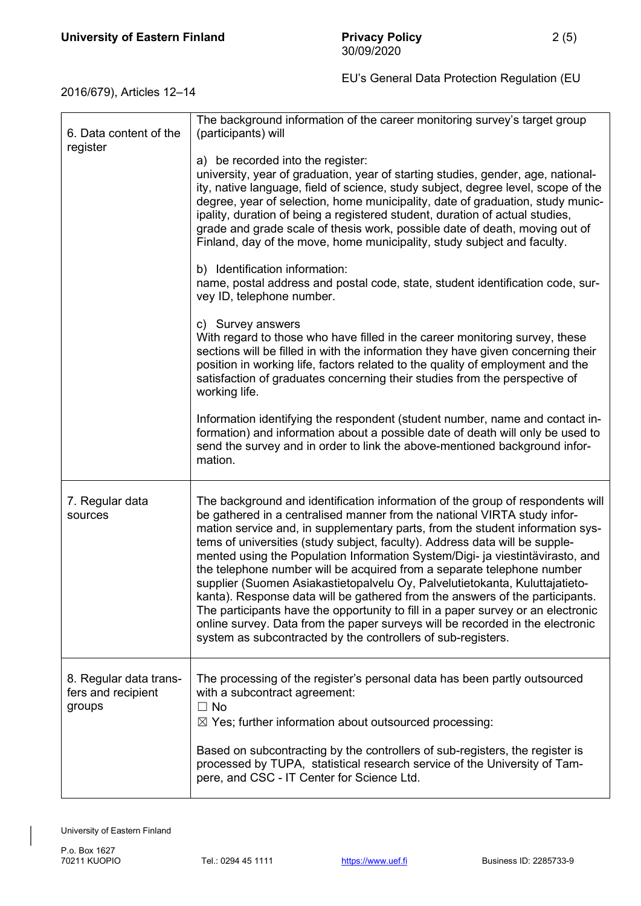EU's General Data Protection Regulation (EU

2016/679), Articles 12–14

| 6. Data content of the<br>register                     | The background information of the career monitoring survey's target group<br>(participants) will<br>a) be recorded into the register:<br>university, year of graduation, year of starting studies, gender, age, national-<br>ity, native language, field of science, study subject, degree level, scope of the<br>degree, year of selection, home municipality, date of graduation, study munic-<br>ipality, duration of being a registered student, duration of actual studies,<br>grade and grade scale of thesis work, possible date of death, moving out of<br>Finland, day of the move, home municipality, study subject and faculty.<br>b) Identification information:<br>name, postal address and postal code, state, student identification code, sur-<br>vey ID, telephone number.                                                                                               |
|--------------------------------------------------------|-------------------------------------------------------------------------------------------------------------------------------------------------------------------------------------------------------------------------------------------------------------------------------------------------------------------------------------------------------------------------------------------------------------------------------------------------------------------------------------------------------------------------------------------------------------------------------------------------------------------------------------------------------------------------------------------------------------------------------------------------------------------------------------------------------------------------------------------------------------------------------------------|
|                                                        | c) Survey answers<br>With regard to those who have filled in the career monitoring survey, these<br>sections will be filled in with the information they have given concerning their<br>position in working life, factors related to the quality of employment and the<br>satisfaction of graduates concerning their studies from the perspective of<br>working life.<br>Information identifying the respondent (student number, name and contact in-<br>formation) and information about a possible date of death will only be used to<br>send the survey and in order to link the above-mentioned background infor-<br>mation.                                                                                                                                                                                                                                                          |
| 7. Regular data<br>sources                             | The background and identification information of the group of respondents will<br>be gathered in a centralised manner from the national VIRTA study infor-<br>mation service and, in supplementary parts, from the student information sys-<br>tems of universities (study subject, faculty). Address data will be supple-<br>mented using the Population Information System/Digi- ja viestintävirasto, and<br>the telephone number will be acquired from a separate telephone number<br>supplier (Suomen Asiakastietopalvelu Oy, Palvelutietokanta, Kuluttajatieto-<br>kanta). Response data will be gathered from the answers of the participants.<br>The participants have the opportunity to fill in a paper survey or an electronic<br>online survey. Data from the paper surveys will be recorded in the electronic<br>system as subcontracted by the controllers of sub-registers. |
| 8. Regular data trans-<br>fers and recipient<br>groups | The processing of the register's personal data has been partly outsourced<br>with a subcontract agreement:<br>$\Box$ No<br>$\boxtimes$ Yes; further information about outsourced processing:<br>Based on subcontracting by the controllers of sub-registers, the register is<br>processed by TUPA, statistical research service of the University of Tam-<br>pere, and CSC - IT Center for Science Ltd.                                                                                                                                                                                                                                                                                                                                                                                                                                                                                   |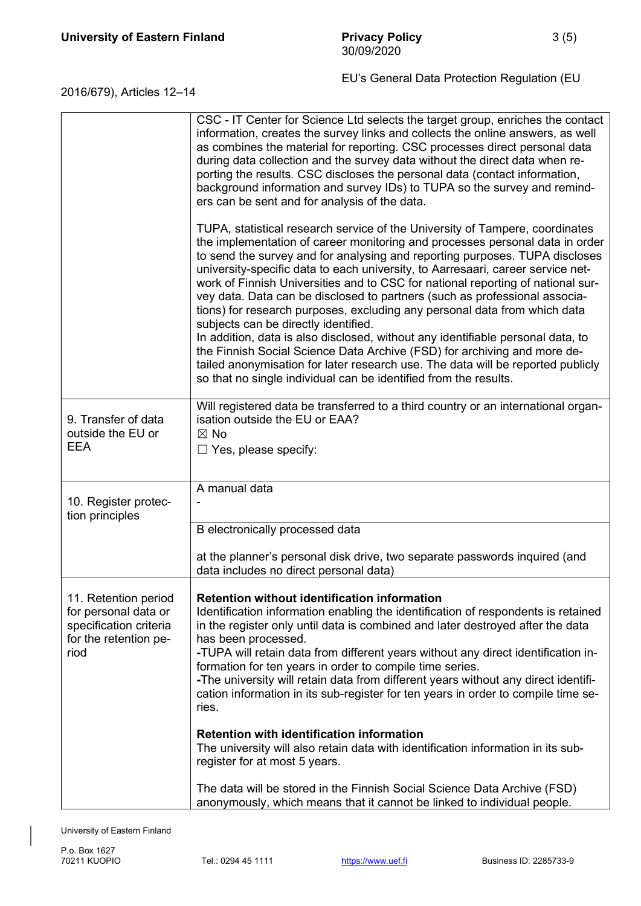| 2016/679), Articles 12–14 | EU's General Data Protection Regulation (EU |
|---------------------------|---------------------------------------------|
|---------------------------|---------------------------------------------|

|                                                                                                         | CSC - IT Center for Science Ltd selects the target group, enriches the contact<br>information, creates the survey links and collects the online answers, as well<br>as combines the material for reporting. CSC processes direct personal data<br>during data collection and the survey data without the direct data when re-<br>porting the results. CSC discloses the personal data (contact information,<br>background information and survey IDs) to TUPA so the survey and remind-<br>ers can be sent and for analysis of the data.                                                                                                                                                                                                                                                                                                                                                                                                   |
|---------------------------------------------------------------------------------------------------------|--------------------------------------------------------------------------------------------------------------------------------------------------------------------------------------------------------------------------------------------------------------------------------------------------------------------------------------------------------------------------------------------------------------------------------------------------------------------------------------------------------------------------------------------------------------------------------------------------------------------------------------------------------------------------------------------------------------------------------------------------------------------------------------------------------------------------------------------------------------------------------------------------------------------------------------------|
|                                                                                                         | TUPA, statistical research service of the University of Tampere, coordinates<br>the implementation of career monitoring and processes personal data in order<br>to send the survey and for analysing and reporting purposes. TUPA discloses<br>university-specific data to each university, to Aarresaari, career service net-<br>work of Finnish Universities and to CSC for national reporting of national sur-<br>vey data. Data can be disclosed to partners (such as professional associa-<br>tions) for research purposes, excluding any personal data from which data<br>subjects can be directly identified.<br>In addition, data is also disclosed, without any identifiable personal data, to<br>the Finnish Social Science Data Archive (FSD) for archiving and more de-<br>tailed anonymisation for later research use. The data will be reported publicly<br>so that no single individual can be identified from the results. |
| 9. Transfer of data<br>outside the EU or<br><b>EEA</b>                                                  | Will registered data be transferred to a third country or an international organ-<br>isation outside the EU or EAA?<br>$\boxtimes$ No<br>$\Box$ Yes, please specify:                                                                                                                                                                                                                                                                                                                                                                                                                                                                                                                                                                                                                                                                                                                                                                       |
| 10. Register protec-<br>tion principles                                                                 | A manual data                                                                                                                                                                                                                                                                                                                                                                                                                                                                                                                                                                                                                                                                                                                                                                                                                                                                                                                              |
|                                                                                                         | B electronically processed data                                                                                                                                                                                                                                                                                                                                                                                                                                                                                                                                                                                                                                                                                                                                                                                                                                                                                                            |
|                                                                                                         | at the planner's personal disk drive, two separate passwords inquired (and<br>data includes no direct personal data)                                                                                                                                                                                                                                                                                                                                                                                                                                                                                                                                                                                                                                                                                                                                                                                                                       |
| 11. Retention period<br>for personal data or<br>specification criteria<br>for the retention pe-<br>riod | <b>Retention without identification information</b><br>Identification information enabling the identification of respondents is retained<br>in the register only until data is combined and later destroyed after the data<br>has been processed.<br>-TUPA will retain data from different years without any direct identification in-<br>formation for ten years in order to compile time series.<br>-The university will retain data from different years without any direct identifi-<br>cation information in its sub-register for ten years in order to compile time se-<br>ries.                                                                                                                                                                                                                                                                                                                                                     |
|                                                                                                         | <b>Retention with identification information</b><br>The university will also retain data with identification information in its sub-<br>register for at most 5 years.                                                                                                                                                                                                                                                                                                                                                                                                                                                                                                                                                                                                                                                                                                                                                                      |
|                                                                                                         | The data will be stored in the Finnish Social Science Data Archive (FSD)<br>anonymously, which means that it cannot be linked to individual people.                                                                                                                                                                                                                                                                                                                                                                                                                                                                                                                                                                                                                                                                                                                                                                                        |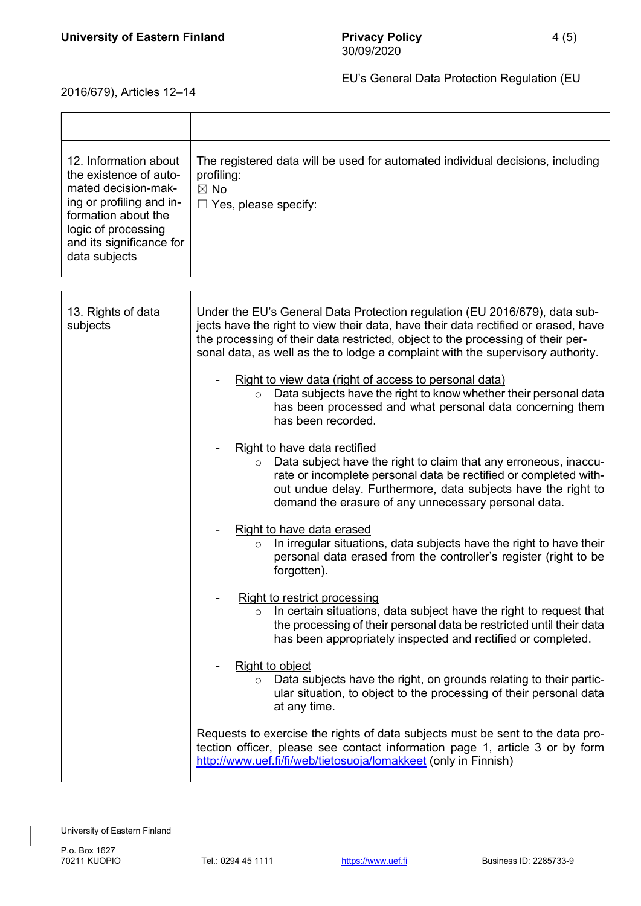T

2016/679), Articles 12–14

 $\Gamma$ 

| 12. Information about<br>the existence of auto-<br>mated decision-mak-<br>ing or profiling and in-<br>formation about the<br>logic of processing<br>and its significance for<br>data subjects | The registered data will be used for automated individual decisions, including<br>profiling:<br>$\boxtimes$ No<br>$\Box$ Yes, please specify:                                                                                                                                                                                          |
|-----------------------------------------------------------------------------------------------------------------------------------------------------------------------------------------------|----------------------------------------------------------------------------------------------------------------------------------------------------------------------------------------------------------------------------------------------------------------------------------------------------------------------------------------|
|                                                                                                                                                                                               |                                                                                                                                                                                                                                                                                                                                        |
| 13. Rights of data<br>subjects                                                                                                                                                                | Under the EU's General Data Protection regulation (EU 2016/679), data sub-<br>jects have the right to view their data, have their data rectified or erased, have<br>the processing of their data restricted, object to the processing of their per-<br>sonal data, as well as the to lodge a complaint with the supervisory authority. |
|                                                                                                                                                                                               | Right to view data (right of access to personal data)<br>Data subjects have the right to know whether their personal data<br>$\circ$<br>has been processed and what personal data concerning them<br>has been recorded.                                                                                                                |
|                                                                                                                                                                                               | Right to have data rectified<br>Data subject have the right to claim that any erroneous, inaccu-<br>$\circ$<br>rate or incomplete personal data be rectified or completed with-<br>out undue delay. Furthermore, data subjects have the right to<br>demand the erasure of any unnecessary personal data.                               |
|                                                                                                                                                                                               | Right to have data erased<br>In irregular situations, data subjects have the right to have their<br>$\circ$<br>personal data erased from the controller's register (right to be<br>forgotten).                                                                                                                                         |
|                                                                                                                                                                                               | Right to restrict processing<br>In certain situations, data subject have the right to request that<br>$\circ$<br>the processing of their personal data be restricted until their data<br>has been appropriately inspected and rectified or completed.                                                                                  |
|                                                                                                                                                                                               | Right to object<br>$\circ$ Data subjects have the right, on grounds relating to their partic-<br>ular situation, to object to the processing of their personal data<br>at any time.                                                                                                                                                    |
|                                                                                                                                                                                               | Requests to exercise the rights of data subjects must be sent to the data pro-<br>tection officer, please see contact information page 1, article 3 or by form<br>http://www.uef.fi/fi/web/tietosuoja/lomakkeet (only in Finnish)                                                                                                      |

 $\overline{\phantom{a}}$